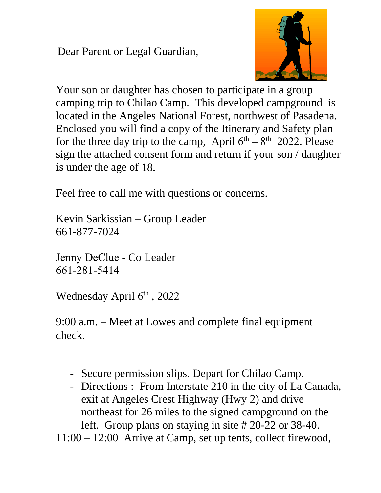Dear Parent or Legal Guardian,



Your son or daughter has chosen to participate in a group camping trip to Chilao Camp. This developed campground is located in the Angeles National Forest, northwest of Pasadena. Enclosed you will find a copy of the Itinerary and Safety plan for the three day trip to the camp, April  $6<sup>th</sup> - 8<sup>th</sup>$  2022. Please sign the attached consent form and return if your son / daughter is under the age of 18.

Feel free to call me with questions or concerns.

Kevin Sarkissian – Group Leader 661-877-7024

Jenny DeClue - Co Leader 661-281-5414

Wednesday April 6<sup>th</sup>, 2022

9:00 a.m. – Meet at Lowes and complete final equipment check.

- Secure permission slips. Depart for Chilao Camp.
- Directions : From Interstate 210 in the city of La Canada, exit at Angeles Crest Highway (Hwy 2) and drive northeast for 26 miles to the signed campground on the left. Group plans on staying in site # 20-22 or 38-40.

11:00 – 12:00 Arrive at Camp, set up tents, collect firewood,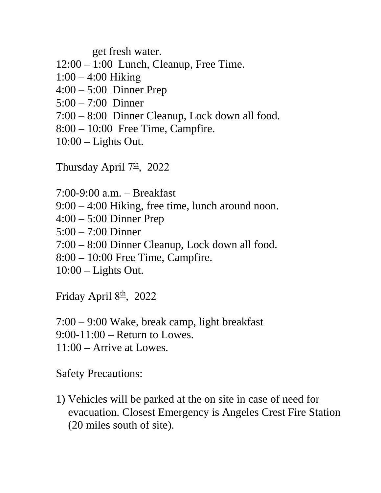get fresh water.

- 12:00 1:00 Lunch, Cleanup, Free Time.
- 1:00 4:00 Hiking
- 4:00 5:00 Dinner Prep
- 5:00 7:00 Dinner
- 7:00 8:00 Dinner Cleanup, Lock down all food.
- 8:00 10:00 Free Time, Campfire.
- 10:00 Lights Out.

Thursday April 7<sup>th</sup>, 2022

7:00-9:00 a.m. – Breakfast 9:00 – 4:00 Hiking, free time, lunch around noon. 4:00 – 5:00 Dinner Prep 5:00 – 7:00 Dinner 7:00 – 8:00 Dinner Cleanup, Lock down all food.

- 8:00 10:00 Free Time, Campfire.
- $10:00$  Lights Out.

Friday April 8<sup>th</sup>, 2022

7:00 – 9:00 Wake, break camp, light breakfast 9:00-11:00 – Return to Lowes. 11:00 – Arrive at Lowes.

Safety Precautions:

1) Vehicles will be parked at the on site in case of need for evacuation. Closest Emergency is Angeles Crest Fire Station (20 miles south of site).